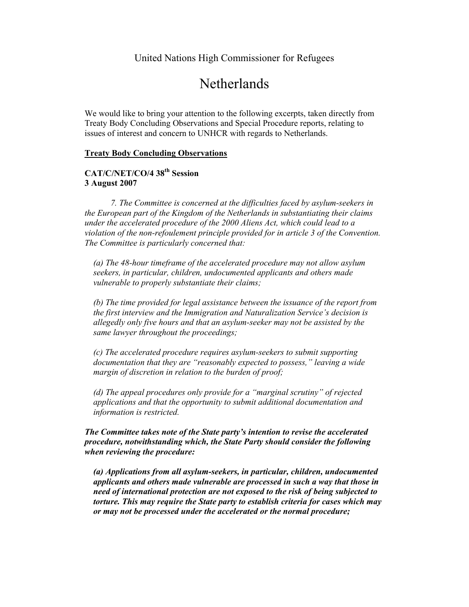# Netherlands

We would like to bring your attention to the following excerpts, taken directly from Treaty Body Concluding Observations and Special Procedure reports, relating to issues of interest and concern to UNHCR with regards to Netherlands.

#### **Treaty Body Concluding Observations**

# **CAT/C/NET/CO/4 38th Session 3 August 2007**

*7. The Committee is concerned at the difficulties faced by asylum-seekers in the European part of the Kingdom of the Netherlands in substantiating their claims under the accelerated procedure of the 2000 Aliens Act, which could lead to a violation of the non-refoulement principle provided for in article 3 of the Convention. The Committee is particularly concerned that:* 

*(a) The 48-hour timeframe of the accelerated procedure may not allow asylum seekers, in particular, children, undocumented applicants and others made vulnerable to properly substantiate their claims;* 

*(b) The time provided for legal assistance between the issuance of the report from the first interview and the Immigration and Naturalization Service's decision is allegedly only five hours and that an asylum-seeker may not be assisted by the same lawyer throughout the proceedings;* 

*(c) The accelerated procedure requires asylum-seekers to submit supporting documentation that they are "reasonably expected to possess," leaving a wide margin of discretion in relation to the burden of proof;* 

*(d) The appeal procedures only provide for a "marginal scrutiny" of rejected applications and that the opportunity to submit additional documentation and information is restricted.* 

*The Committee takes note of the State party's intention to revise the accelerated procedure, notwithstanding which, the State Party should consider the following when reviewing the procedure:* 

*(a) Applications from all asylum-seekers, in particular, children, undocumented applicants and others made vulnerable are processed in such a way that those in need of international protection are not exposed to the risk of being subjected to torture. This may require the State party to establish criteria for cases which may or may not be processed under the accelerated or the normal procedure;*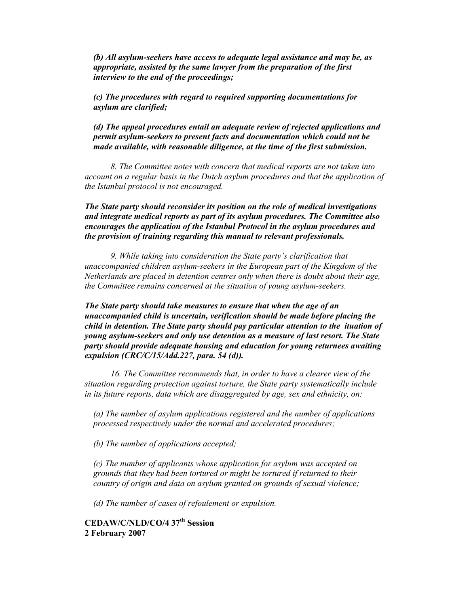*(b) All asylum-seekers have access to adequate legal assistance and may be, as appropriate, assisted by the same lawyer from the preparation of the first interview to the end of the proceedings;* 

*(c) The procedures with regard to required supporting documentations for asylum are clarified;* 

*(d) The appeal procedures entail an adequate review of rejected applications and permit asylum-seekers to present facts and documentation which could not be made available, with reasonable diligence, at the time of the first submission.* 

*8. The Committee notes with concern that medical reports are not taken into account on a regular basis in the Dutch asylum procedures and that the application of the Istanbul protocol is not encouraged.* 

*The State party should reconsider its position on the role of medical investigations and integrate medical reports as part of its asylum procedures. The Committee also encourages the application of the Istanbul Protocol in the asylum procedures and the provision of training regarding this manual to relevant professionals.* 

*9. While taking into consideration the State party's clarification that unaccompanied children asylum-seekers in the European part of the Kingdom of the Netherlands are placed in detention centres only when there is doubt about their age, the Committee remains concerned at the situation of young asylum-seekers.* 

*The State party should take measures to ensure that when the age of an unaccompanied child is uncertain, verification should be made before placing the child in detention. The State party should pay particular attention to the ituation of young asylum-seekers and only use detention as a measure of last resort. The State party should provide adequate housing and education for young returnees awaiting expulsion (CRC/C/15/Add.227, para. 54 (d)).*

*16. The Committee recommends that, in order to have a clearer view of the situation regarding protection against torture, the State party systematically include in its future reports, data which are disaggregated by age, sex and ethnicity, on:* 

*(a) The number of asylum applications registered and the number of applications processed respectively under the normal and accelerated procedures;* 

*(b) The number of applications accepted;* 

*(c) The number of applicants whose application for asylum was accepted on grounds that they had been tortured or might be tortured if returned to their country of origin and data on asylum granted on grounds of sexual violence;* 

*(d) The number of cases of refoulement or expulsion.*

**CEDAW/C/NLD/CO/4 37th Session 2 February 2007**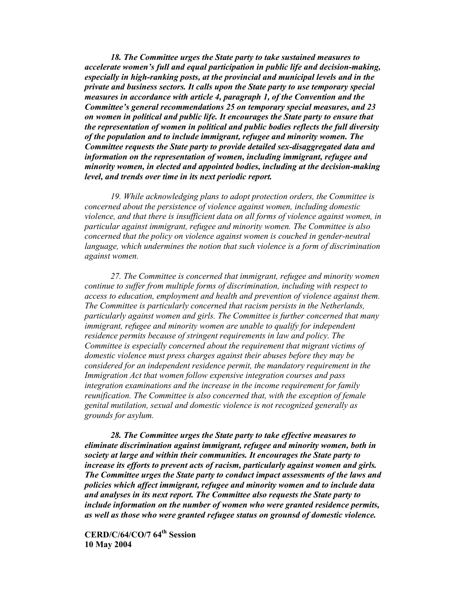*18. The Committee urges the State party to take sustained measures to accelerate women's full and equal participation in public life and decision-making, especially in high-ranking posts, at the provincial and municipal levels and in the private and business sectors. It calls upon the State party to use temporary special measures in accordance with article 4, paragraph 1, of the Convention and the Committee's general recommendations 25 on temporary special measures, and 23 on women in political and public life. It encourages the State party to ensure that the representation of women in political and public bodies reflects the full diversity of the population and to include immigrant, refugee and minority women. The Committee requests the State party to provide detailed sex-disaggregated data and information on the representation of women, including immigrant, refugee and minority women, in elected and appointed bodies, including at the decision-making level, and trends over time in its next periodic report.* 

*19. While acknowledging plans to adopt protection orders, the Committee is concerned about the persistence of violence against women, including domestic violence, and that there is insufficient data on all forms of violence against women, in particular against immigrant, refugee and minority women. The Committee is also concerned that the policy on violence against women is couched in gender-neutral language, which undermines the notion that such violence is a form of discrimination against women.* 

 *27. The Committee is concerned that immigrant, refugee and minority women continue to suffer from multiple forms of discrimination, including with respect to access to education, employment and health and prevention of violence against them. The Committee is particularly concerned that racism persists in the Netherlands, particularly against women and girls. The Committee is further concerned that many immigrant, refugee and minority women are unable to qualify for independent residence permits because of stringent requirements in law and policy. The Committee is especially concerned about the requirement that migrant victims of domestic violence must press charges against their abuses before they may be considered for an independent residence permit, the mandatory requirement in the Immigration Act that women follow expensive integration courses and pass integration examinations and the increase in the income requirement for family reunification. The Committee is also concerned that, with the exception of female genital mutilation, sexual and domestic violence is not recognized generally as grounds for asylum.* 

*28. The Committee urges the State party to take effective measures to eliminate discrimination against immigrant, refugee and minority women, both in society at large and within their communities. It encourages the State party to increase its efforts to prevent acts of racism, particularly against women and girls. The Committee urges the State party to conduct impact assessments of the laws and policies which affect immigrant, refugee and minority women and to include data and analyses in its next report. The Committee also requests the State party to include information on the number of women who were granted residence permits, as well as those who were granted refugee status on grounsd of domestic violence.* 

**CERD/C/64/CO/7 64th Session 10 May 2004**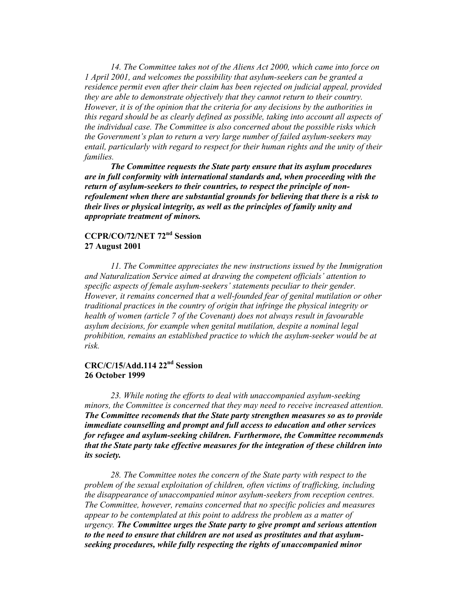*14. The Committee takes not of the Aliens Act 2000, which came into force on 1 April 2001, and welcomes the possibility that asylum-seekers can be granted a residence permit even after their claim has been rejected on judicial appeal, provided they are able to demonstrate objectively that they cannot return to their country. However, it is of the opinion that the criteria for any decisions by the authorities in this regard should be as clearly defined as possible, taking into account all aspects of the individual case. The Committee is also concerned about the possible risks which the Government's plan to return a very large number of failed asylum-seekers may entail, particularly with regard to respect for their human rights and the unity of their families.* 

*The Committee requests the State party ensure that its asylum procedures are in full conformity with international standards and, when proceeding with the return of asylum-seekers to their countries, to respect the principle of nonrefoulement when there are substantial grounds for believing that there is a risk to their lives or physical integrity, as well as the principles of family unity and appropriate treatment of minors.* 

## **CCPR/CO/72/NET 72nd Session 27 August 2001**

*11. The Committee appreciates the new instructions issued by the Immigration and Naturalization Service aimed at drawing the competent officials' attention to specific aspects of female asylum-seekers' statements peculiar to their gender. However, it remains concerned that a well-founded fear of genital mutilation or other traditional practices in the country of origin that infringe the physical integrity or health of women (article 7 of the Covenant) does not always result in favourable asylum decisions, for example when genital mutilation, despite a nominal legal prohibition, remains an established practice to which the asylum-seeker would be at risk.* 

# **CRC/C/15/Add.114 22nd Session 26 October 1999**

 *23. While noting the efforts to deal with unaccompanied asylum-seeking minors, the Committee is concerned that they may need to receive increased attention. The Committee recomends that the State party strengthen measures so as to provide immediate counselling and prompt and full access to education and other services for refugee and asylum-seeking children. Furthermore, the Committee recommends that the State party take effective measures for the integration of these children into its society.* 

*28. The Committee notes the concern of the State party with respect to the problem of the sexual exploitation of children, often victims of trafficking, including the disappearance of unaccompanied minor asylum-seekers from reception centres. The Committee, however, remains concerned that no specific policies and measures appear to be contemplated at this point to address the problem as a matter of urgency. The Committee urges the State party to give prompt and serious attention to the need to ensure that children are not used as prostitutes and that asylumseeking procedures, while fully respecting the rights of unaccompanied minor*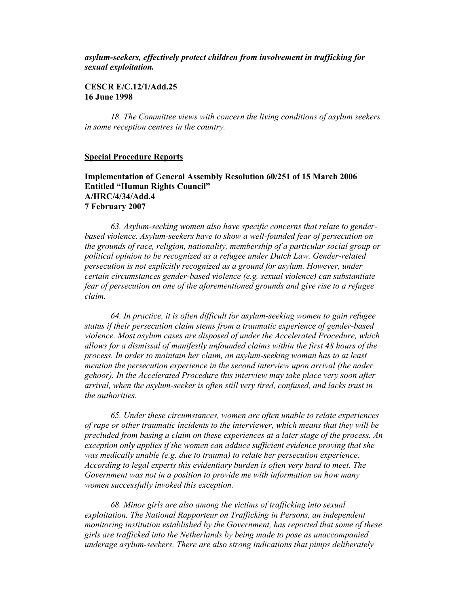## *asylum-seekers, effectively protect children from involvement in trafficking for sexual exploitation.*

### **CESCR E/C.12/1/Add.25 16 June 1998**

 *18. The Committee views with concern the living conditions of asylum seekers in some reception centres in the country.* 

#### **Special Procedure Reports**

## **Implementation of General Assembly Resolution 60/251 of 15 March 2006 Entitled "Human Rights Council" A/HRC/4/34/Add.4 7 February 2007**

 *63. Asylum-seeking women also have specific concerns that relate to genderbased violence. Asylum-seekers have to show a well-founded fear of persecution on the grounds of race, religion, nationality, membership of a particular social group or political opinion to be recognized as a refugee under Dutch Law. Gender-related persecution is not explicitly recognized as a ground for asylum. However, under certain circumstances gender-based violence (e.g. sexual violence) can substantiate fear of persecution on one of the aforementioned grounds and give rise to a refugee claim.* 

 *64. In practice, it is often difficult for asylum-seeking women to gain refugee status if their persecution claim stems from a traumatic experience of gender-based violence. Most asylum cases are disposed of under the Accelerated Procedure, which allows for a dismissal of manifestly unfounded claims within the first 48 hours of the process. In order to maintain her claim, an asylum-seeking woman has to at least mention the persecution experience in the second interview upon arrival (the nader gehoor). In the Accelerated Procedure this interview may take place very soon after arrival, when the asylum-seeker is often still very tired, confused, and lacks trust in the authorities.* 

 *65. Under these circumstances, women are often unable to relate experiences of rape or other traumatic incidents to the interviewer, which means that they will be precluded from basing a claim on these experiences at a later stage of the process. An exception only applies if the women can adduce sufficient evidence proving that she was medically unable (e.g. due to trauma) to relate her persecution experience. According to legal experts this evidentiary burden is often very hard to meet. The Government was not in a position to provide me with information on how many women successfully invoked this exception.* 

 *68. Minor girls are also among the victims of trafficking into sexual exploitation. The National Rapporteur on Trafficking in Persons, an independent monitoring institution established by the Government, has reported that some of these girls are trafficked into the Netherlands by being made to pose as unaccompanied underage asylum-seekers. There are also strong indications that pimps deliberately*